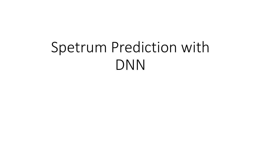# Spetrum Prediction with DNN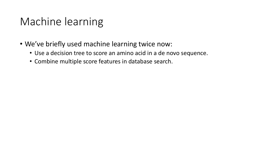### Machine learning

- We've briefly used machine learning twice now:
	- Use a decision tree to score an amino acid in a de novo sequence.
	- Combine multiple score features in database search.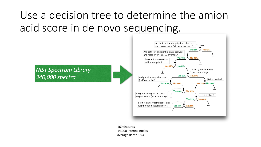## Use a decision tree to determine the amion acid score in de novo sequencing.

*NIST Spectrum Library 340,000 spectra*



169 features 14,000 internal nodes average depth 18.4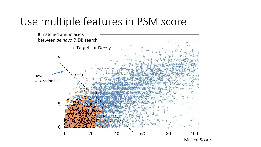#### Use multiple features in PSM score

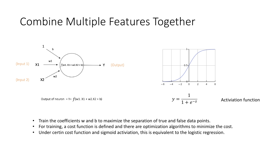#### Combine Multiple Features Together



- Train the coefficients w and b to maximize the separation of true and false data points.
- For training, a cost function is defined and there are optimization algorithms to minimize the cost.
- Under certin cost function and sigmoid activiation, this is equivalent to the logistic regression.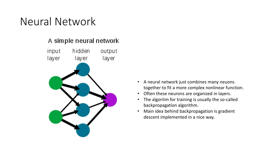### Neural Network

#### A simple neural network



- A neural network just combines many neuons together to fit a more complex nonlinear function.
- Often these neurons are organized in layers.
- The algoritm for training is usually the so-called backpropagation algorithm.
- Main idea behind backpropagation is gradient descent implemented in a nice way.